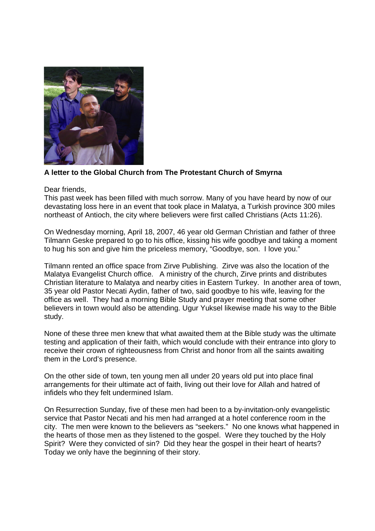

## **A letter to the Global Church from The Protestant Church of Smyrna**

## Dear friends,

This past week has been filled with much sorrow. Many of you have heard by now of our devastating loss here in an event that took place in Malatya, a Turkish province 300 miles northeast of Antioch, the city where believers were first called Christians (Acts 11:26).

On Wednesday morning, April 18, 2007, 46 year old German Christian and father of three Tilmann Geske prepared to go to his office, kissing his wife goodbye and taking a moment to hug his son and give him the priceless memory, "Goodbye, son. I love you."

Tilmann rented an office space from Zirve Publishing. Zirve was also the location of the Malatya Evangelist Church office. A ministry of the church, Zirve prints and distributes Christian literature to Malatya and nearby cities in Eastern Turkey. In another area of town, 35 year old Pastor Necati Aydin, father of two, said goodbye to his wife, leaving for the office as well. They had a morning Bible Study and prayer meeting that some other believers in town would also be attending. Ugur Yuksel likewise made his way to the Bible study.

None of these three men knew that what awaited them at the Bible study was the ultimate testing and application of their faith, which would conclude with their entrance into glory to receive their crown of righteousness from Christ and honor from all the saints awaiting them in the Lord's presence.

On the other side of town, ten young men all under 20 years old put into place final arrangements for their ultimate act of faith, living out their love for Allah and hatred of infidels who they felt undermined Islam.

On Resurrection Sunday, five of these men had been to a by-invitation-only evangelistic service that Pastor Necati and his men had arranged at a hotel conference room in the city. The men were known to the believers as "seekers." No one knows what happened in the hearts of those men as they listened to the gospel. Were they touched by the Holy Spirit? Were they convicted of sin? Did they hear the gospel in their heart of hearts? Today we only have the beginning of their story.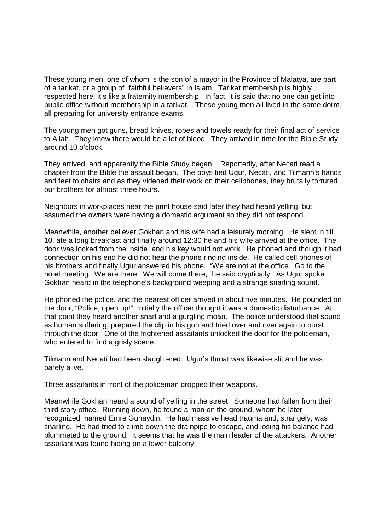These young men, one of whom is the son of a mayor in the Province of Malatya, are part of a tarikat, or a group of "faithful believers" in Islam. Tarikat membership is highly respected here; it's like a fraternity membership. In fact, it is said that no one can get into public office without membership in a tarikat. These young men all lived in the same dorm, all preparing for university entrance exams.

The young men got guns, bread knives, ropes and towels ready for their final act of service to Allah. They knew there would be a lot of blood. They arrived in time for the Bible Study, around 10 o'clock.

They arrived, and apparently the Bible Study began. Reportedly, after Necati read a chapter from the Bible the assault began. The boys tied Ugur, Necati, and Tilmann's hands and feet to chairs and as they videoed their work on their cellphones, they brutally tortured our brothers for almost three hours**.** 

Neighbors in workplaces near the print house said later they had heard yelling, but assumed the owners were having a domestic argument so they did not respond.

Meanwhile, another believer Gokhan and his wife had a leisurely morning. He slept in till 10, ate a long breakfast and finally around 12:30 he and his wife arrived at the office. The door was locked from the inside, and his key would not work. He phoned and though it had connection on his end he did not hear the phone ringing inside. He called cell phones of his brothers and finally Ugur answered his phone. "We are not at the office. Go to the hotel meeting. We are there. We will come there," he said cryptically. As Ugur spoke Gokhan heard in the telephone's background weeping and a strange snarling sound.

He phoned the police, and the nearest officer arrived in about five minutes. He pounded on the door, "Police, open up!" Initially the officer thought it was a domestic disturbance. At that point they heard another snarl and a gurgling moan. The police understood that sound as human suffering, prepared the clip in his gun and tried over and over again to burst through the door. One of the frightened assailants unlocked the door for the policeman, who entered to find a grisly scene.

Tilmann and Necati had been slaughtered. Ugur's throat was likewise slit and he was barely alive.

Three assailants in front of the policeman dropped their weapons.

Meanwhile Gokhan heard a sound of yelling in the street. Someone had fallen from their third story office. Running down, he found a man on the ground, whom he later recognized, named Emre Gunaydin. He had massive head trauma and, strangely, was snarling. He had tried to climb down the drainpipe to escape, and losing his balance had plummeted to the ground. It seems that he was the main leader of the attackers. Another assailant was found hiding on a lower balcony.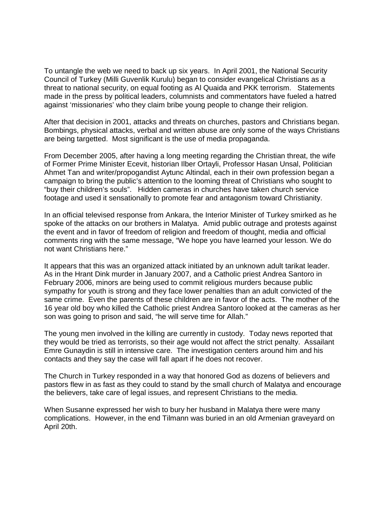To untangle the web we need to back up six years. In April 2001, the National Security Council of Turkey (Milli Guvenlik Kurulu) began to consider evangelical Christians as a threat to national security, on equal footing as Al Quaida and PKK terrorism. Statements made in the press by political leaders, columnists and commentators have fueled a hatred against 'missionaries' who they claim bribe young people to change their religion.

After that decision in 2001, attacks and threats on churches, pastors and Christians began. Bombings, physical attacks, verbal and written abuse are only some of the ways Christians are being targetted. Most significant is the use of media propaganda.

From December 2005, after having a long meeting regarding the Christian threat, the wife of Former Prime Minister Ecevit, historian Ilber Ortayli, Professor Hasan Unsal, Politician Ahmet Tan and writer/propogandist Aytunc Altindal, each in their own profession began a campaign to bring the public's attention to the looming threat of Christians who sought to "buy their children's souls". Hidden cameras in churches have taken church service footage and used it sensationally to promote fear and antagonism toward Christianity.

In an official televised response from Ankara, the Interior Minister of Turkey smirked as he spoke of the attacks on our brothers in Malatya. Amid public outrage and protests against the event and in favor of freedom of religion and freedom of thought, media and official comments ring with the same message, "We hope you have learned your lesson. We do not want Christians here."

It appears that this was an organized attack initiated by an unknown adult tarikat leader. As in the Hrant Dink murder in January 2007, and a Catholic priest Andrea Santoro in February 2006, minors are being used to commit religious murders because public sympathy for youth is strong and they face lower penalties than an adult convicted of the same crime. Even the parents of these children are in favor of the acts. The mother of the 16 year old boy who killed the Catholic priest Andrea Santoro looked at the cameras as her son was going to prison and said, "he will serve time for Allah."

The young men involved in the killing are currently in custody. Today news reported that they would be tried as terrorists, so their age would not affect the strict penalty. Assailant Emre Gunaydin is still in intensive care. The investigation centers around him and his contacts and they say the case will fall apart if he does not recover.

The Church in Turkey responded in a way that honored God as dozens of believers and pastors flew in as fast as they could to stand by the small church of Malatya and encourage the believers, take care of legal issues, and represent Christians to the media.

When Susanne expressed her wish to bury her husband in Malatya there were many complications. However, in the end Tilmann was buried in an old Armenian graveyard on April 20th.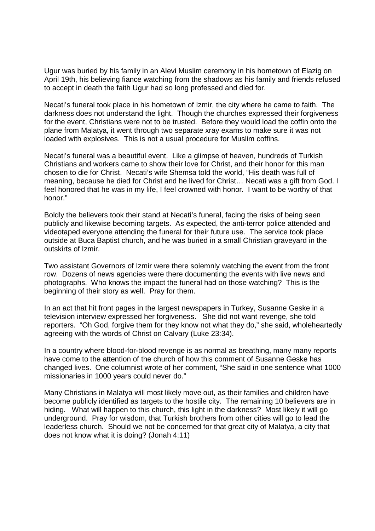Ugur was buried by his family in an Alevi Muslim ceremony in his hometown of Elazig on April 19th, his believing fiance watching from the shadows as his family and friends refused to accept in death the faith Ugur had so long professed and died for.

Necati's funeral took place in his hometown of Izmir, the city where he came to faith. The darkness does not understand the light. Though the churches expressed their forgiveness for the event, Christians were not to be trusted. Before they would load the coffin onto the plane from Malatya, it went through two separate xray exams to make sure it was not loaded with explosives. This is not a usual procedure for Muslim coffins.

Necati's funeral was a beautiful event. Like a glimpse of heaven, hundreds of Turkish Christians and workers came to show their love for Christ, and their honor for this man chosen to die for Christ. Necati's wife Shemsa told the world, "His death was full of meaning, because he died for Christ and he lived for Christ… Necati was a gift from God. I feel honored that he was in my life, I feel crowned with honor. I want to be worthy of that honor."

Boldly the believers took their stand at Necati's funeral, facing the risks of being seen publicly and likewise becoming targets. As expected, the anti-terror police attended and videotaped everyone attending the funeral for their future use. The service took place outside at Buca Baptist church, and he was buried in a small Christian graveyard in the outskirts of Izmir.

Two assistant Governors of Izmir were there solemnly watching the event from the front row. Dozens of news agencies were there documenting the events with live news and photographs. Who knows the impact the funeral had on those watching? This is the beginning of their story as well. Pray for them.

In an act that hit front pages in the largest newspapers in Turkey, Susanne Geske in a television interview expressed her forgiveness. She did not want revenge, she told reporters. "Oh God, forgive them for they know not what they do," she said, wholeheartedly agreeing with the words of Christ on Calvary (Luke 23:34).

In a country where blood-for-blood revenge is as normal as breathing, many many reports have come to the attention of the church of how this comment of Susanne Geske has changed lives. One columnist wrote of her comment, "She said in one sentence what 1000 missionaries in 1000 years could never do."

Many Christians in Malatya will most likely move out, as their families and children have become publicly identified as targets to the hostile city. The remaining 10 believers are in hiding. What will happen to this church, this light in the darkness? Most likely it will go underground. Pray for wisdom, that Turkish brothers from other cities will go to lead the leaderless church. Should we not be concerned for that great city of Malatya, a city that does not know what it is doing? (Jonah 4:11)